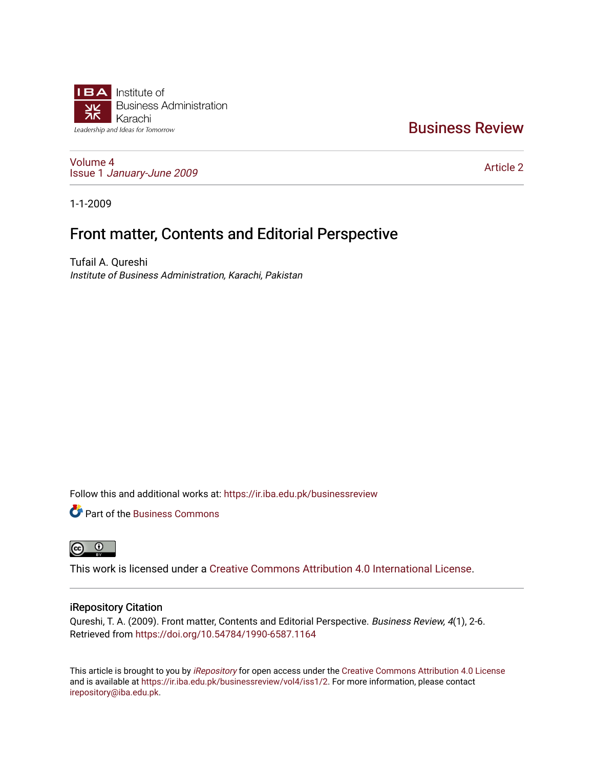

### [Business Review](https://ir.iba.edu.pk/businessreview)

[Volume 4](https://ir.iba.edu.pk/businessreview/vol4) Issue 1 [January-June 2009](https://ir.iba.edu.pk/businessreview/vol4/iss1) 

[Article 2](https://ir.iba.edu.pk/businessreview/vol4/iss1/2) 

1-1-2009

## Front matter, Contents and Editorial Perspective

Tufail A. Qureshi Institute of Business Administration, Karachi, Pakistan

Follow this and additional works at: [https://ir.iba.edu.pk/businessreview](https://ir.iba.edu.pk/businessreview?utm_source=ir.iba.edu.pk%2Fbusinessreview%2Fvol4%2Fiss1%2F2&utm_medium=PDF&utm_campaign=PDFCoverPages) 

**P** Part of the [Business Commons](http://network.bepress.com/hgg/discipline/622?utm_source=ir.iba.edu.pk%2Fbusinessreview%2Fvol4%2Fiss1%2F2&utm_medium=PDF&utm_campaign=PDFCoverPages)



This work is licensed under a [Creative Commons Attribution 4.0 International License](https://creativecommons.org/licenses/by/4.0/).

#### iRepository Citation

Qureshi, T. A. (2009). Front matter, Contents and Editorial Perspective. Business Review, 4(1), 2-6. Retrieved from <https://doi.org/10.54784/1990-6587.1164>

This article is brought to you by [iRepository](https://ir.iba.edu.pk/) for open access under the Creative Commons Attribution 4.0 License and is available at [https://ir.iba.edu.pk/businessreview/vol4/iss1/2.](https://ir.iba.edu.pk/businessreview/vol4/iss1/2) For more information, please contact [irepository@iba.edu.pk.](mailto:irepository@iba.edu.pk)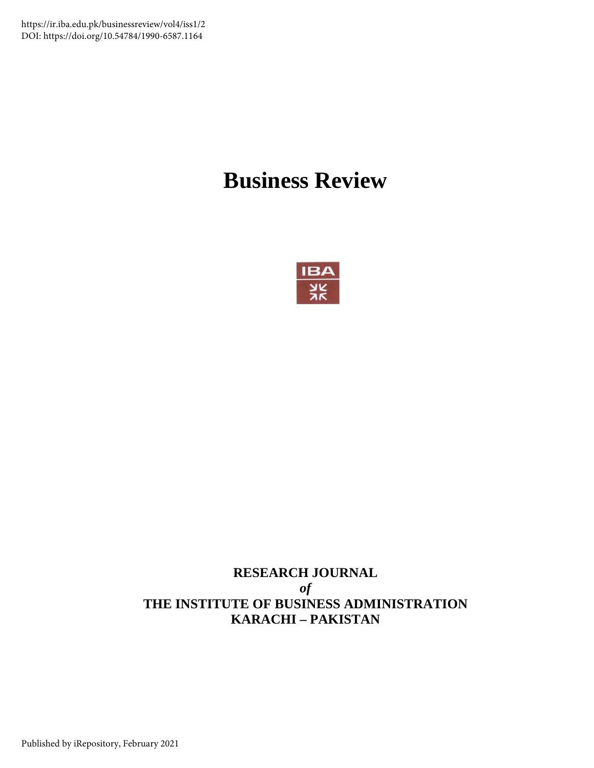https://ir.iba.edu.pk/businessreview/vol4/iss1/2 DOI: https://doi.org/10.54784/1990-6587.1164

# **Business Review**



### **RESEARCH JOURNAL**  *of*  **THE INSTITUTE OF BUSINESS ADMINISTRATION KARACHI – PAKISTAN**

Published by iRepository, February 2021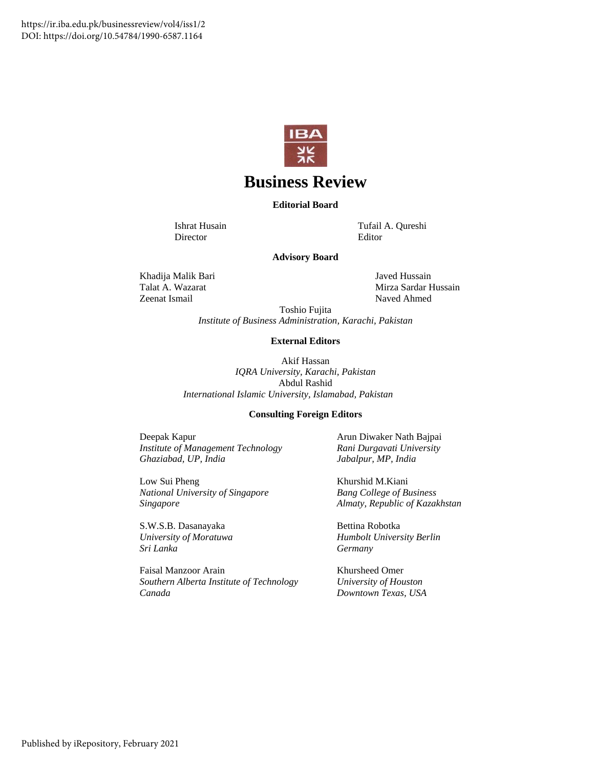

### **Business Review**

**Editorial Board** 

Director Editor

Ishrat Husain Tufail A. Qureshi

#### **Advisory Board**

Khadija Malik Bari Javed Hussain Zeenat Ismail

Talat A. Wazarat Mirza Sardar Hussain Naved Ahmed

Toshio Fujita

*Institute of Business Administration, Karachi, Pakistan* 

#### **External Editors**

Akif Hassan *IQRA University, Karachi, Pakistan*  Abdul Rashid *International Islamic University, Islamabad, Pakistan*

#### **Consulting Foreign Editors**

Deepak Kapur *Institute of Management Technology Ghaziabad, UP, India*

Low Sui Pheng *National University of Singapore Singapore*

S.W.S.B. Dasanayaka *University of Moratuwa Sri Lanka*

Faisal Manzoor Arain *Southern Alberta Institute of Technology Canada* 

Arun Diwaker Nath Bajpai *Rani Durgavati University Jabalpur, MP, India* 

Khurshid M.Kiani *Bang College of Business Almaty, Republic of Kazakhstan*

Bettina Robotka *Humbolt University Berlin Germany*

Khursheed Omer *University of Houston Downtown Texas, USA*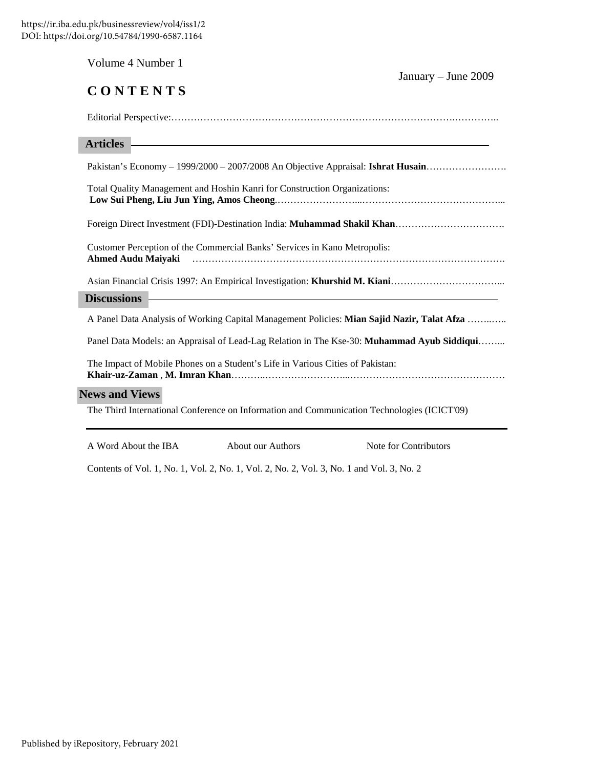| Volume 4 Number 1                                                                                                                        | January - June 2009 |
|------------------------------------------------------------------------------------------------------------------------------------------|---------------------|
| CONTENTS                                                                                                                                 |                     |
|                                                                                                                                          |                     |
| <u> 1989 - Andrea Station Barbara, actor a contrador de la contrador de la contrador de la contrador de la contra</u><br><b>Articles</b> |                     |
| Pakistan's Economy - 1999/2000 - 2007/2008 An Objective Appraisal: Ishrat Husain                                                         |                     |
| Total Quality Management and Hoshin Kanri for Construction Organizations:                                                                |                     |
|                                                                                                                                          |                     |
| Customer Perception of the Commercial Banks' Services in Kano Metropolis:<br><b>Ahmed Audu Maiyaki</b>                                   |                     |
|                                                                                                                                          |                     |
| <b>Discussions</b>                                                                                                                       |                     |
| A Panel Data Analysis of Working Capital Management Policies: Mian Sajid Nazir, Talat Afza                                               |                     |
| Panel Data Models: an Appraisal of Lead-Lag Relation in The Kse-30: Muhammad Ayub Siddiqui                                               |                     |
| The Impact of Mobile Phones on a Student's Life in Various Cities of Pakistan:                                                           |                     |
| <b>News and Views</b>                                                                                                                    |                     |
| The Third International Conference on Information and Communication Technologies (ICICT'09)                                              |                     |

A Word About the IBA About our Authors Note for Contributors

Contents of Vol. 1, No. 1, Vol. 2, No. 1, Vol. 2, No. 2, Vol. 3, No. 1 and Vol. 3, No. 2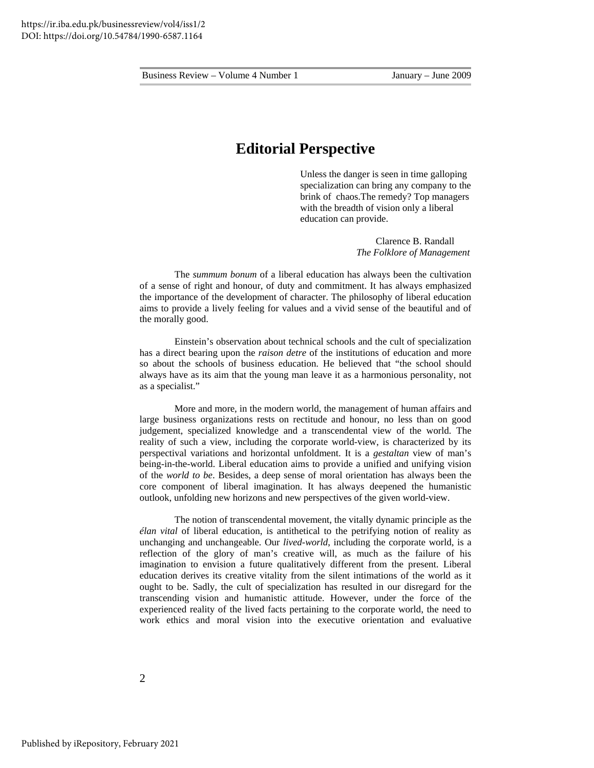#### **Editorial Perspective**

Unless the danger is seen in time galloping specialization can bring any company to the brink of chaos.The remedy? Top managers with the breadth of vision only a liberal education can provide.

> Clarence B. Randall *The Folklore of Management*

The *summum bonum* of a liberal education has always been the cultivation of a sense of right and honour, of duty and commitment. It has always emphasized the importance of the development of character. The philosophy of liberal education aims to provide a lively feeling for values and a vivid sense of the beautiful and of the morally good.

 Einstein's observation about technical schools and the cult of specialization has a direct bearing upon the *raison detre* of the institutions of education and more so about the schools of business education. He believed that "the school should always have as its aim that the young man leave it as a harmonious personality, not as a specialist."

More and more, in the modern world, the management of human affairs and large business organizations rests on rectitude and honour, no less than on good judgement, specialized knowledge and a transcendental view of the world. The reality of such a view, including the corporate world-view, is characterized by its perspectival variations and horizontal unfoldment. It is a *gestaltan* view of man's being-in-the-world. Liberal education aims to provide a unified and unifying vision of the *world to be*. Besides, a deep sense of moral orientation has always been the core component of liberal imagination. It has always deepened the humanistic outlook, unfolding new horizons and new perspectives of the given world-view.

The notion of transcendental movement, the vitally dynamic principle as the *élan vital* of liberal education, is antithetical to the petrifying notion of reality as unchanging and unchangeable. Our *lived-world*, including the corporate world, is a reflection of the glory of man's creative will, as much as the failure of his imagination to envision a future qualitatively different from the present. Liberal education derives its creative vitality from the silent intimations of the world as it ought to be. Sadly, the cult of specialization has resulted in our disregard for the transcending vision and humanistic attitude. However, under the force of the experienced reality of the lived facts pertaining to the corporate world, the need to work ethics and moral vision into the executive orientation and evaluative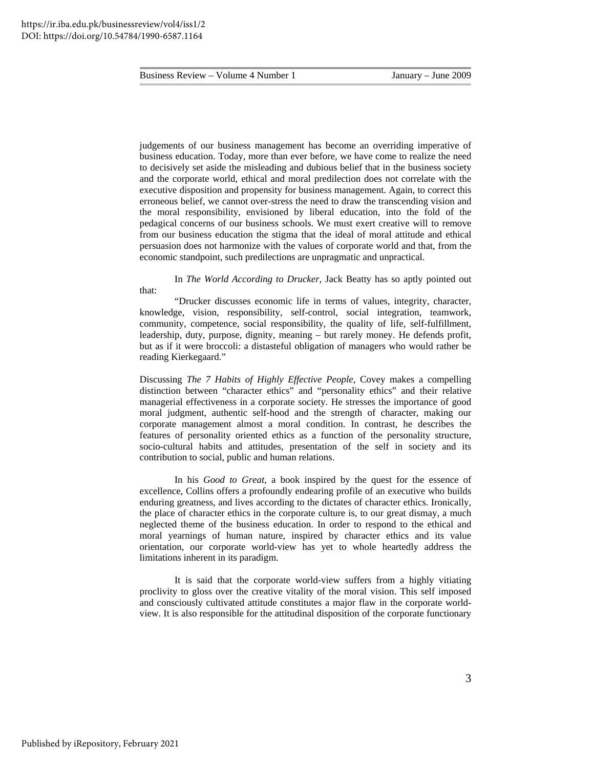judgements of our business management has become an overriding imperative of business education. Today, more than ever before, we have come to realize the need to decisively set aside the misleading and dubious belief that in the business society and the corporate world, ethical and moral predilection does not correlate with the executive disposition and propensity for business management. Again, to correct this erroneous belief, we cannot over-stress the need to draw the transcending vision and the moral responsibility, envisioned by liberal education, into the fold of the pedagical concerns of our business schools. We must exert creative will to remove from our business education the stigma that the ideal of moral attitude and ethical persuasion does not harmonize with the values of corporate world and that, from the economic standpoint, such predilections are unpragmatic and unpractical.

In *The World According to Drucker*, Jack Beatty has so aptly pointed out that:

 "Drucker discusses economic life in terms of values, integrity, character, knowledge, vision, responsibility, self-control, social integration, teamwork, community, competence, social responsibility, the quality of life, self-fulfillment, leadership, duty, purpose, dignity, meaning – but rarely money. He defends profit, but as if it were broccoli: a distasteful obligation of managers who would rather be reading Kierkegaard."

Discussing *The 7 Habits of Highly Effective People*, Covey makes a compelling distinction between "character ethics" and "personality ethics" and their relative managerial effectiveness in a corporate society. He stresses the importance of good moral judgment, authentic self-hood and the strength of character, making our corporate management almost a moral condition. In contrast, he describes the features of personality oriented ethics as a function of the personality structure, socio-cultural habits and attitudes, presentation of the self in society and its contribution to social, public and human relations.

In his *Good to Great*, a book inspired by the quest for the essence of excellence, Collins offers a profoundly endearing profile of an executive who builds enduring greatness, and lives according to the dictates of character ethics. Ironically, the place of character ethics in the corporate culture is, to our great dismay, a much neglected theme of the business education. In order to respond to the ethical and moral yearnings of human nature, inspired by character ethics and its value orientation, our corporate world-view has yet to whole heartedly address the limitations inherent in its paradigm.

It is said that the corporate world-view suffers from a highly vitiating proclivity to gloss over the creative vitality of the moral vision. This self imposed and consciously cultivated attitude constitutes a major flaw in the corporate worldview. It is also responsible for the attitudinal disposition of the corporate functionary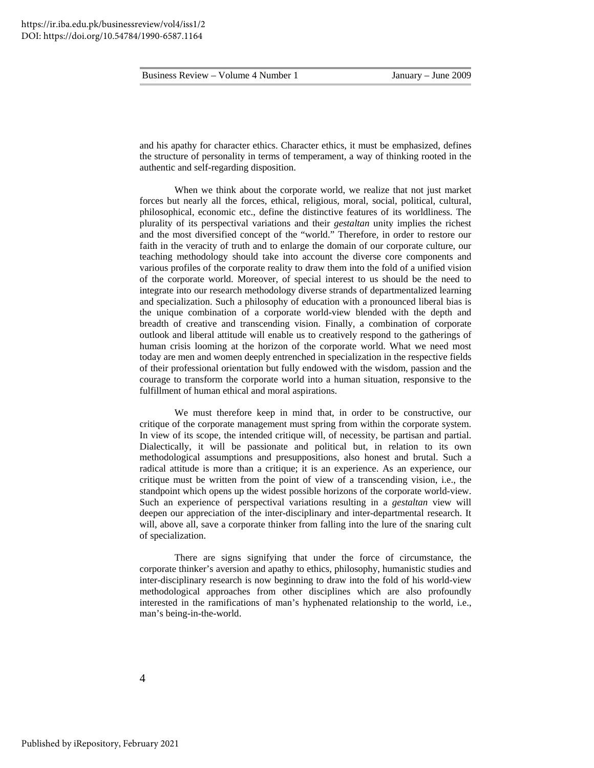and his apathy for character ethics. Character ethics, it must be emphasized, defines the structure of personality in terms of temperament, a way of thinking rooted in the authentic and self-regarding disposition.

When we think about the corporate world, we realize that not just market forces but nearly all the forces, ethical, religious, moral, social, political, cultural, philosophical, economic etc., define the distinctive features of its worldliness. The plurality of its perspectival variations and their *gestaltan* unity implies the richest and the most diversified concept of the "world." Therefore, in order to restore our faith in the veracity of truth and to enlarge the domain of our corporate culture, our teaching methodology should take into account the diverse core components and various profiles of the corporate reality to draw them into the fold of a unified vision of the corporate world. Moreover, of special interest to us should be the need to integrate into our research methodology diverse strands of departmentalized learning and specialization. Such a philosophy of education with a pronounced liberal bias is the unique combination of a corporate world-view blended with the depth and breadth of creative and transcending vision. Finally, a combination of corporate outlook and liberal attitude will enable us to creatively respond to the gatherings of human crisis looming at the horizon of the corporate world. What we need most today are men and women deeply entrenched in specialization in the respective fields of their professional orientation but fully endowed with the wisdom, passion and the courage to transform the corporate world into a human situation, responsive to the fulfillment of human ethical and moral aspirations.

We must therefore keep in mind that, in order to be constructive, our critique of the corporate management must spring from within the corporate system. In view of its scope, the intended critique will, of necessity, be partisan and partial. Dialectically, it will be passionate and political but, in relation to its own methodological assumptions and presuppositions, also honest and brutal. Such a radical attitude is more than a critique; it is an experience. As an experience, our critique must be written from the point of view of a transcending vision, i.e., the standpoint which opens up the widest possible horizons of the corporate world-view. Such an experience of perspectival variations resulting in a *gestaltan* view will deepen our appreciation of the inter-disciplinary and inter-departmental research. It will, above all, save a corporate thinker from falling into the lure of the snaring cult of specialization.

There are signs signifying that under the force of circumstance, the corporate thinker's aversion and apathy to ethics, philosophy, humanistic studies and inter-disciplinary research is now beginning to draw into the fold of his world-view methodological approaches from other disciplines which are also profoundly interested in the ramifications of man's hyphenated relationship to the world, i.e., man's being-in-the-world.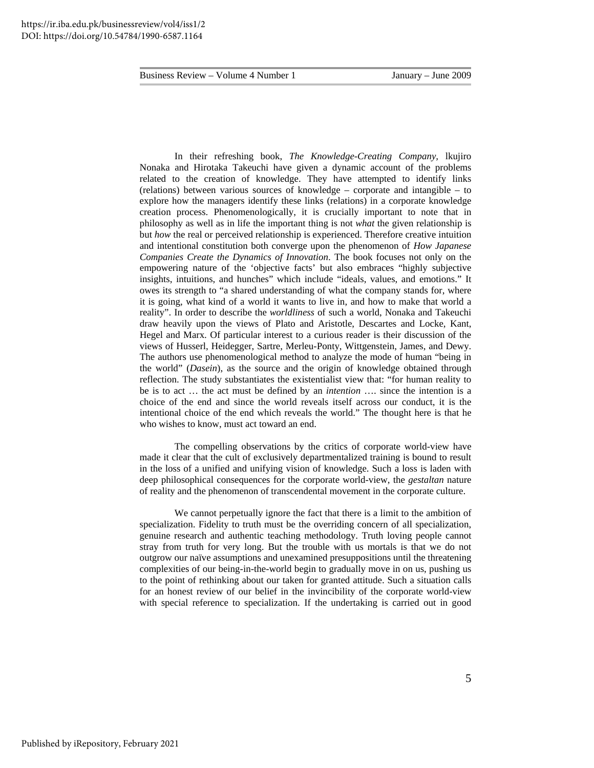In their refreshing book, *The Knowledge-Creating Company,* lkujiro Nonaka and Hirotaka Takeuchi have given a dynamic account of the problems related to the creation of knowledge. They have attempted to identify links (relations) between various sources of knowledge – corporate and intangible – to explore how the managers identify these links (relations) in a corporate knowledge creation process. Phenomenologically, it is crucially important to note that in philosophy as well as in life the important thing is not *what* the given relationship is but *how* the real or perceived relationship is experienced. Therefore creative intuition and intentional constitution both converge upon the phenomenon of *How Japanese Companies Create the Dynamics of Innovation*. The book focuses not only on the empowering nature of the 'objective facts' but also embraces "highly subjective insights, intuitions, and hunches" which include "ideals, values, and emotions." It owes its strength to "a shared understanding of what the company stands for, where it is going, what kind of a world it wants to live in, and how to make that world a reality". In order to describe the *worldliness* of such a world, Nonaka and Takeuchi draw heavily upon the views of Plato and Aristotle, Descartes and Locke, Kant, Hegel and Marx. Of particular interest to a curious reader is their discussion of the views of Husserl, Heidegger, Sartre, Merleu-Ponty, Wittgenstein, James, and Dewy. The authors use phenomenological method to analyze the mode of human "being in the world" (*Dasein*), as the source and the origin of knowledge obtained through reflection. The study substantiates the existentialist view that: "for human reality to be is to act … the act must be defined by an *intention* …. since the intention is a choice of the end and since the world reveals itself across our conduct, it is the intentional choice of the end which reveals the world." The thought here is that he who wishes to know, must act toward an end.

The compelling observations by the critics of corporate world-view have made it clear that the cult of exclusively departmentalized training is bound to result in the loss of a unified and unifying vision of knowledge. Such a loss is laden with deep philosophical consequences for the corporate world-view, the *gestaltan* nature of reality and the phenomenon of transcendental movement in the corporate culture.

We cannot perpetually ignore the fact that there is a limit to the ambition of specialization. Fidelity to truth must be the overriding concern of all specialization, genuine research and authentic teaching methodology. Truth loving people cannot stray from truth for very long. But the trouble with us mortals is that we do not outgrow our naïve assumptions and unexamined presuppositions until the threatening complexities of our being-in-the-world begin to gradually move in on us, pushing us to the point of rethinking about our taken for granted attitude. Such a situation calls for an honest review of our belief in the invincibility of the corporate world-view with special reference to specialization. If the undertaking is carried out in good